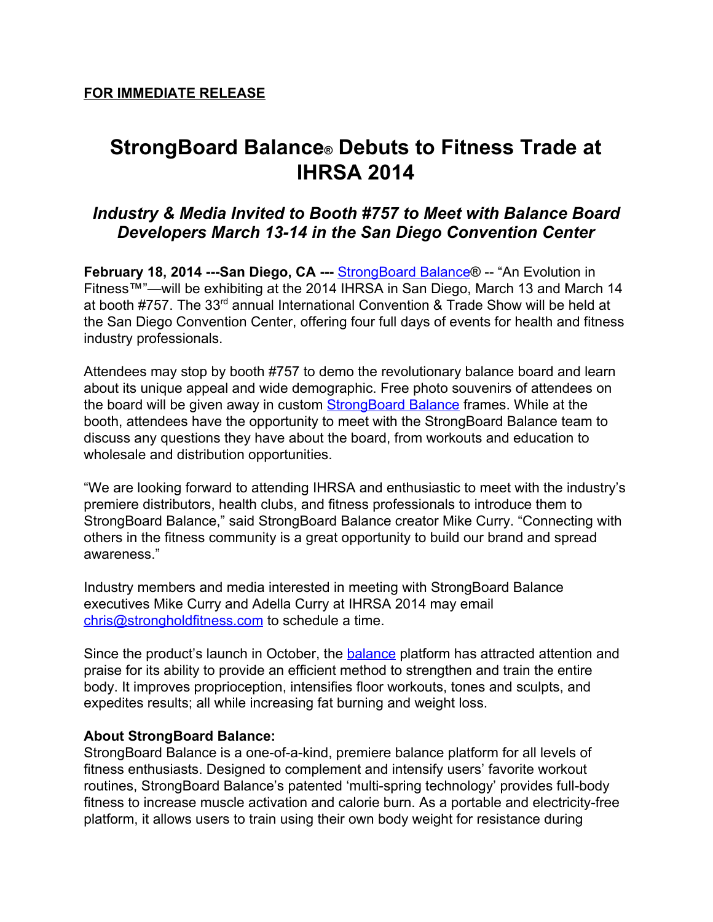## **StrongBoard Balance® Debuts to Fitness Trade at IHRSA 2014**

## *Industry & Media Invited to Booth #757 to Meet with Balance Board Developers March 1314 in the San Diego Convention Center*

**February 18, 2014 ---San Diego, CA --- [StrongBoard](http://www.google.com/url?q=http%3A%2F%2Fstrongboardbalance.com&sa=D&sntz=1&usg=AFQjCNEViy_DA-uBaMBscr8szVUdLpUt7A) Balance® -- "An Evolution in** Fitness™"—will be exhibiting at the 2014 IHRSA in San Diego, March 13 and March 14 at booth #757. The 33<sup>rd</sup> annual International Convention & Trade Show will be held at the San Diego Convention Center, offering four full days of events for health and fitness industry professionals.

Attendees may stop by booth #757 to demo the revolutionary balance board and learn about its unique appeal and wide demographic. Free photo souvenirs of attendees on the board will be given away in custom [StrongBoard](https://www.google.com/url?q=https%3A%2F%2Ftwitter.com%2FStrongBoard&sa=D&sntz=1&usg=AFQjCNHWR1umgY9ov521Tn_o-v0AZW864g) Balance frames. While at the booth, attendees have the opportunity to meet with the StrongBoard Balance team to discuss any questions they have about the board, from workouts and education to wholesale and distribution opportunities.

"We are looking forward to attending IHRSA and enthusiastic to meet with the industry's premiere distributors, health clubs, and fitness professionals to introduce them to StrongBoard Balance," said StrongBoard Balance creator Mike Curry. "Connecting with others in the fitness community is a great opportunity to build our brand and spread awareness."

Industry members and media interested in meeting with StrongBoard Balance executives Mike Curry and Adella Curry at IHRSA 2014 may email [chris@strongholdfitness.com](mailto:chris@strongholdfitness.com) to schedule a time.

Since the product's launch in October, the **[balance](http://www.google.com/url?q=http%3A%2F%2Fstrongboardbalance.com%2F2013%2F12%2Fharmony-from-within%2F&sa=D&sntz=1&usg=AFQjCNErZmBse3dulPGqT_HmvHIM5E8j1A)** platform has attracted attention and praise for its ability to provide an efficient method to strengthen and train the entire body. It improves proprioception, intensifies floor workouts, tones and sculpts, and expedites results; all while increasing fat burning and weight loss.

## **About StrongBoard Balance:**

StrongBoard Balance is a one-of-a-kind, premiere balance platform for all levels of fitness enthusiasts. Designed to complement and intensify users' favorite workout routines, StrongBoard Balance's patented 'multi-spring technology' provides full-body fitness to increase muscle activation and calorie burn. As a portable and electricity-free platform, it allows users to train using their own body weight for resistance during